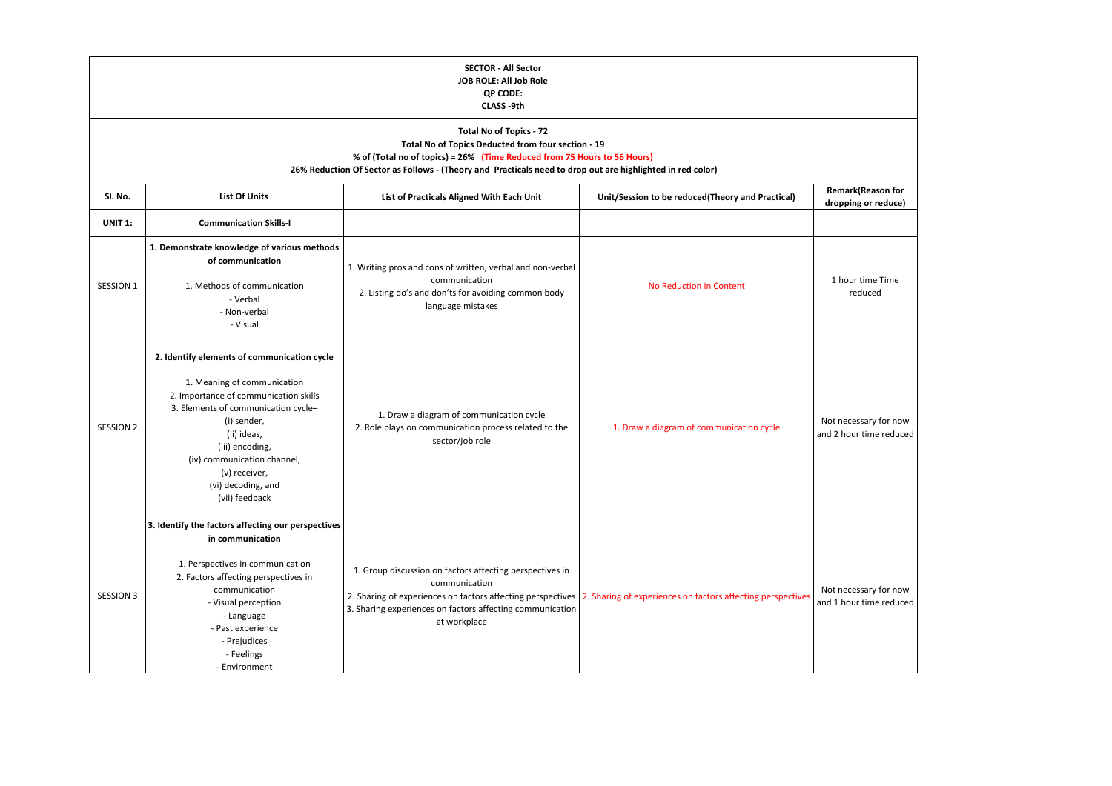| <b>SECTOR - All Sector</b><br>JOB ROLE: All Job Role<br>QP CODE:<br>CLASS-9th                                                                                                                                                                                                  |                                                                                                                                                                                                                                                                                                     |                                                                                                                                                                                                                       |                                                             |                                                  |
|--------------------------------------------------------------------------------------------------------------------------------------------------------------------------------------------------------------------------------------------------------------------------------|-----------------------------------------------------------------------------------------------------------------------------------------------------------------------------------------------------------------------------------------------------------------------------------------------------|-----------------------------------------------------------------------------------------------------------------------------------------------------------------------------------------------------------------------|-------------------------------------------------------------|--------------------------------------------------|
| <b>Total No of Topics - 72</b><br>Total No of Topics Deducted from four section - 19<br>% of (Total no of topics) = 26% (Time Reduced from 75 Hours to 56 Hours)<br>26% Reduction Of Sector as Follows - (Theory and Practicals need to drop out are highlighted in red color) |                                                                                                                                                                                                                                                                                                     |                                                                                                                                                                                                                       |                                                             |                                                  |
| Sl. No.                                                                                                                                                                                                                                                                        | <b>List Of Units</b>                                                                                                                                                                                                                                                                                | List of Practicals Aligned With Each Unit                                                                                                                                                                             | Unit/Session to be reduced(Theory and Practical)            | <b>Remark(Reason for</b><br>dropping or reduce)  |
| <b>UNIT 1:</b>                                                                                                                                                                                                                                                                 | <b>Communication Skills-I</b>                                                                                                                                                                                                                                                                       |                                                                                                                                                                                                                       |                                                             |                                                  |
| SESSION 1                                                                                                                                                                                                                                                                      | 1. Demonstrate knowledge of various methods<br>of communication<br>1. Methods of communication<br>- Verbal<br>- Non-verbal<br>- Visual                                                                                                                                                              | 1. Writing pros and cons of written, verbal and non-verbal<br>communication<br>2. Listing do's and don'ts for avoiding common body<br>language mistakes                                                               | No Reduction in Content                                     | 1 hour time Time<br>reduced                      |
| <b>SESSION 2</b>                                                                                                                                                                                                                                                               | 2. Identify elements of communication cycle<br>1. Meaning of communication<br>2. Importance of communication skills<br>3. Elements of communication cycle-<br>(i) sender,<br>(ii) ideas,<br>(iii) encoding,<br>(iv) communication channel,<br>(v) receiver,<br>(vi) decoding, and<br>(vii) feedback | 1. Draw a diagram of communication cycle<br>2. Role plays on communication process related to the<br>sector/job role                                                                                                  | 1. Draw a diagram of communication cycle                    | Not necessary for now<br>and 2 hour time reduced |
| <b>SESSION 3</b>                                                                                                                                                                                                                                                               | 3. Identify the factors affecting our perspectives<br>in communication<br>1. Perspectives in communication<br>2. Factors affecting perspectives in<br>communication<br>- Visual perception<br>- Language<br>- Past experience<br>- Prejudices<br>- Feelings<br>- Environment                        | 1. Group discussion on factors affecting perspectives in<br>communication<br>2. Sharing of experiences on factors affecting perspectives<br>3. Sharing experiences on factors affecting communication<br>at workplace | 2. Sharing of experiences on factors affecting perspectives | Not necessary for now<br>and 1 hour time reduced |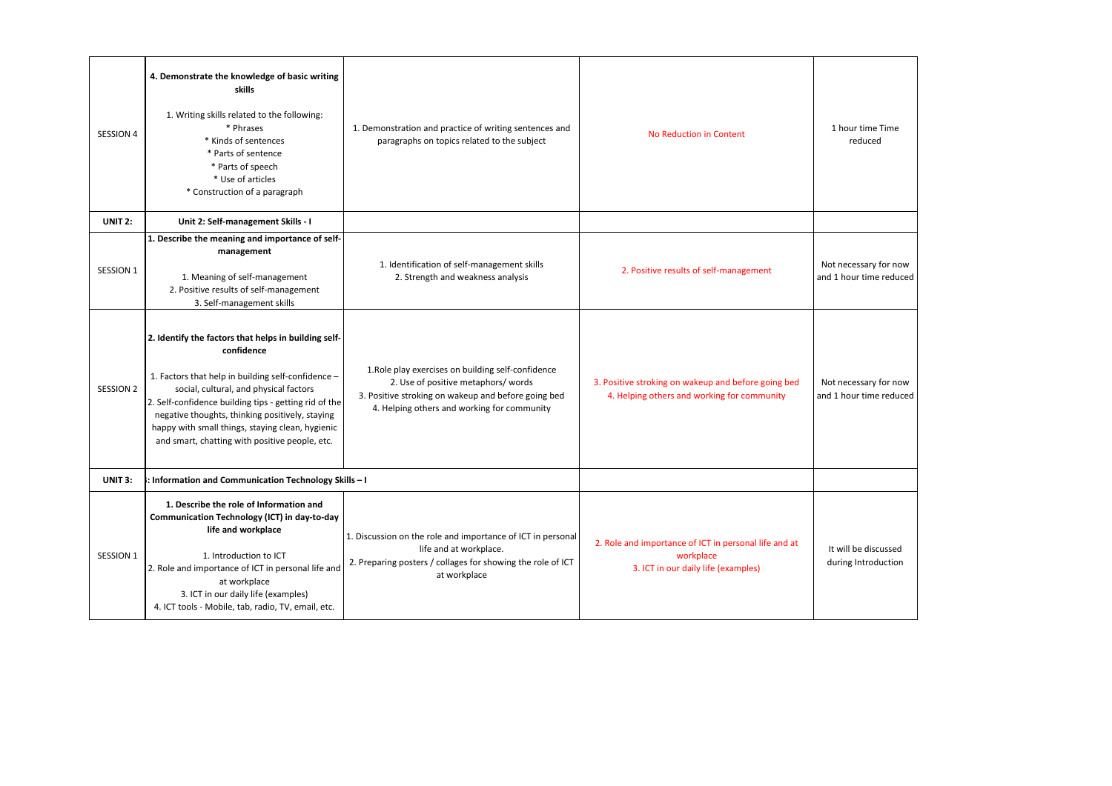| <b>SESSION 4</b> | 4. Demonstrate the knowledge of basic writing<br>skills<br>1. Writing skills related to the following:<br>* Phrases<br>* Kinds of sentences<br>* Parts of sentence<br>* Parts of speech<br>* Use of articles<br>* Construction of a paragraph                                                                                                                                        | 1. Demonstration and practice of writing sentences and<br>paragraphs on topics related to the subject                                                                                           | <b>No Reduction in Content</b>                                                                            | 1 hour time Time<br>reduced                      |
|------------------|--------------------------------------------------------------------------------------------------------------------------------------------------------------------------------------------------------------------------------------------------------------------------------------------------------------------------------------------------------------------------------------|-------------------------------------------------------------------------------------------------------------------------------------------------------------------------------------------------|-----------------------------------------------------------------------------------------------------------|--------------------------------------------------|
| <b>UNIT 2:</b>   | Unit 2: Self-management Skills - I                                                                                                                                                                                                                                                                                                                                                   |                                                                                                                                                                                                 |                                                                                                           |                                                  |
| <b>SESSION 1</b> | 1. Describe the meaning and importance of self-<br>management<br>1. Meaning of self-management<br>2. Positive results of self-management<br>3. Self-management skills                                                                                                                                                                                                                | 1. Identification of self-management skills<br>2. Strength and weakness analysis                                                                                                                | 2. Positive results of self-management                                                                    | Not necessary for now<br>and 1 hour time reduced |
| SESSION 2        | 2. Identify the factors that helps in building self-<br>confidence<br>1. Factors that help in building self-confidence -<br>social, cultural, and physical factors<br>2. Self-confidence building tips - getting rid of the<br>negative thoughts, thinking positively, staying<br>happy with small things, staying clean, hygienic<br>and smart, chatting with positive people, etc. | 1. Role play exercises on building self-confidence<br>2. Use of positive metaphors/ words<br>3. Positive stroking on wakeup and before going bed<br>4. Helping others and working for community | 3. Positive stroking on wakeup and before going bed<br>4. Helping others and working for community        | Not necessary for now<br>and 1 hour time reduced |
| UNIT 3:          | Information and Communication Technology Skills-I                                                                                                                                                                                                                                                                                                                                    |                                                                                                                                                                                                 |                                                                                                           |                                                  |
| SESSION 1        | 1. Describe the role of Information and<br>Communication Technology (ICT) in day-to-day<br>life and workplace<br>1. Introduction to ICT<br>2. Role and importance of ICT in personal life and<br>at workplace<br>3. ICT in our daily life (examples)<br>4. ICT tools - Mobile, tab, radio, TV, email, etc.                                                                           | 1. Discussion on the role and importance of ICT in personal<br>life and at workplace.<br>2. Preparing posters / collages for showing the role of ICT<br>at workplace                            | 2. Role and importance of ICT in personal life and at<br>workplace<br>3. ICT in our daily life (examples) | It will be discussed<br>during Introduction      |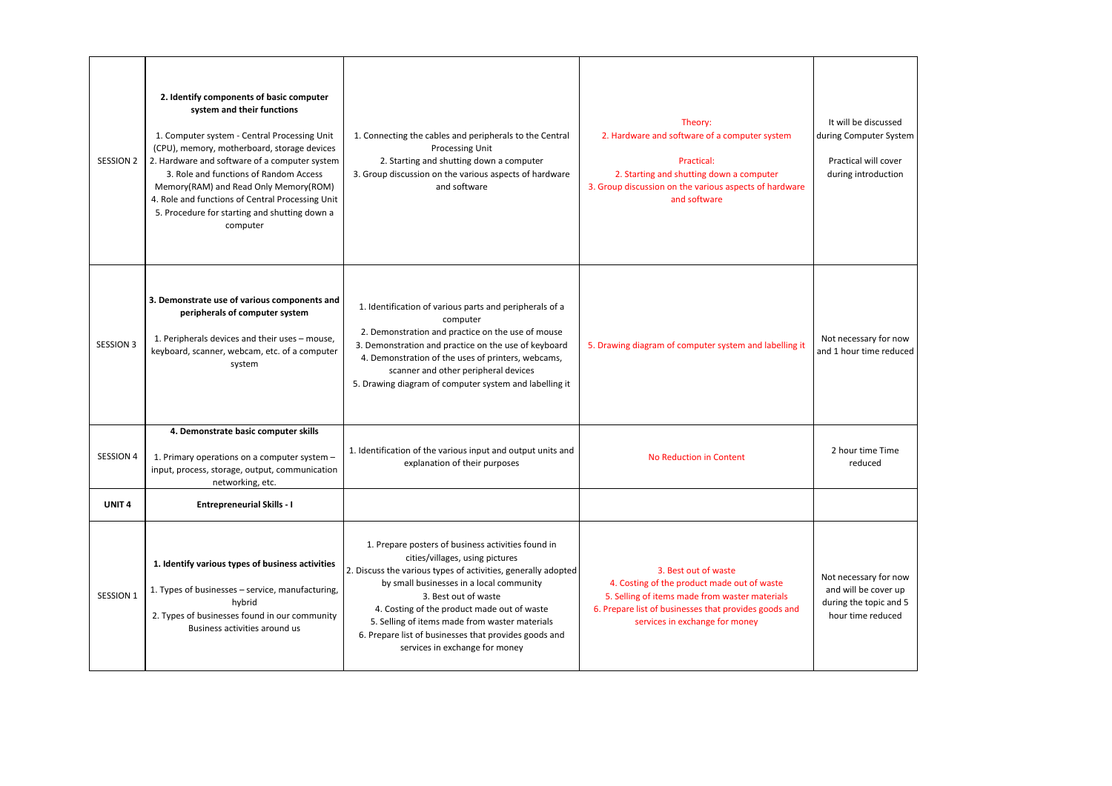| SESSION 2         | 2. Identify components of basic computer<br>system and their functions<br>1. Computer system - Central Processing Unit<br>(CPU), memory, motherboard, storage devices<br>2. Hardware and software of a computer system<br>3. Role and functions of Random Access<br>Memory(RAM) and Read Only Memory(ROM)<br>4. Role and functions of Central Processing Unit<br>5. Procedure for starting and shutting down a<br>computer | 1. Connecting the cables and peripherals to the Central<br>Processing Unit<br>2. Starting and shutting down a computer<br>3. Group discussion on the various aspects of hardware<br>and software                                                                                                                                                                                                                       | Theory:<br>2. Hardware and software of a computer system<br>Practical:<br>2. Starting and shutting down a computer<br>3. Group discussion on the various aspects of hardware<br>and software                     | It will be discussed<br>during Computer System<br>Practical will cover<br>during introduction |
|-------------------|----------------------------------------------------------------------------------------------------------------------------------------------------------------------------------------------------------------------------------------------------------------------------------------------------------------------------------------------------------------------------------------------------------------------------|------------------------------------------------------------------------------------------------------------------------------------------------------------------------------------------------------------------------------------------------------------------------------------------------------------------------------------------------------------------------------------------------------------------------|------------------------------------------------------------------------------------------------------------------------------------------------------------------------------------------------------------------|-----------------------------------------------------------------------------------------------|
| <b>SESSION 3</b>  | 3. Demonstrate use of various components and<br>peripherals of computer system<br>1. Peripherals devices and their uses - mouse,<br>keyboard, scanner, webcam, etc. of a computer<br>system                                                                                                                                                                                                                                | 1. Identification of various parts and peripherals of a<br>computer<br>2. Demonstration and practice on the use of mouse<br>3. Demonstration and practice on the use of keyboard<br>4. Demonstration of the uses of printers, webcams,<br>scanner and other peripheral devices<br>5. Drawing diagram of computer system and labelling it                                                                               | 5. Drawing diagram of computer system and labelling it                                                                                                                                                           | Not necessary for now<br>and 1 hour time reduced                                              |
| <b>SESSION 4</b>  | 4. Demonstrate basic computer skills<br>1. Primary operations on a computer system -<br>input, process, storage, output, communication<br>networking, etc.                                                                                                                                                                                                                                                                 | 1. Identification of the various input and output units and<br>explanation of their purposes                                                                                                                                                                                                                                                                                                                           | <b>No Reduction in Content</b>                                                                                                                                                                                   | 2 hour time Time<br>reduced                                                                   |
| UNIT <sub>4</sub> | <b>Entrepreneurial Skills - I</b>                                                                                                                                                                                                                                                                                                                                                                                          |                                                                                                                                                                                                                                                                                                                                                                                                                        |                                                                                                                                                                                                                  |                                                                                               |
| SESSION 1         | 1. Identify various types of business activities<br>1. Types of businesses - service, manufacturing,<br>hybrid<br>2. Types of businesses found in our community<br>Business activities around us                                                                                                                                                                                                                           | 1. Prepare posters of business activities found in<br>cities/villages, using pictures<br>2. Discuss the various types of activities, generally adopted<br>by small businesses in a local community<br>3. Best out of waste<br>4. Costing of the product made out of waste<br>5. Selling of items made from waster materials<br>6. Prepare list of businesses that provides goods and<br>services in exchange for money | 3. Best out of waste<br>4. Costing of the product made out of waste<br>5. Selling of items made from waster materials<br>6. Prepare list of businesses that provides goods and<br>services in exchange for money | Not necessary for now<br>and will be cover up<br>during the topic and 5<br>hour time reduced  |